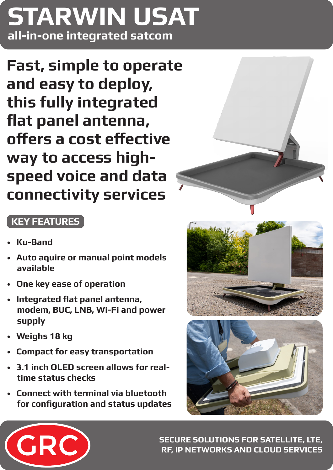# **all-in-one integrated satcom STARWIN USAT**

**Fast, simple to operate and easy to deploy, this fully integrated flat panel antenna, offers a cost effective way to access highspeed voice and data connectivity services**

## **KEY FEATURES**

- **Ku-Band**
- **Auto aquire or manual point models available**
- **One key ease of operation**
- **Integrated flat panel antenna, modem, BUC, LNB, Wi-Fi and power supply**
- **Weighs 18 kg**
- **Compact for easy transportation**
- **3.1 inch OLED screen allows for realtime status checks**
- **Connect with terminal via bluetooth for configuration and status updates**









**SECURE SOLUTIONS FOR SATELLITE, LTE, RF, IP NETWORKS AND CLOUD SERVICES**